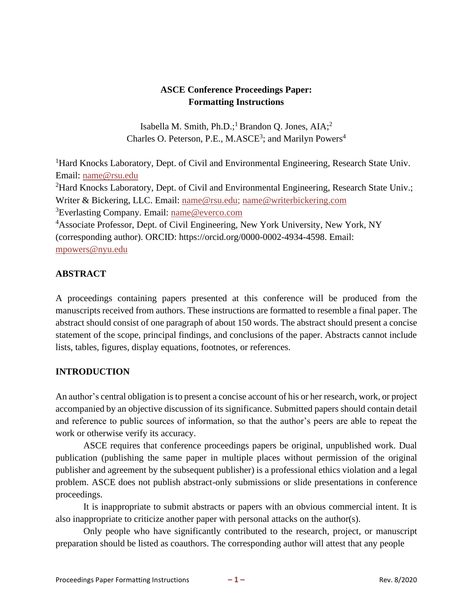# **ASCE Conference Proceedings Paper: Formatting Instructions**

Isabella M. Smith, Ph.D.;<sup>1</sup> Brandon Q. Jones,  $AIA;^{2}$ Charles O. Peterson, P.E., M.ASCE<sup>3</sup>; and Marilyn Powers<sup>4</sup>

<sup>1</sup>Hard Knocks Laboratory, Dept. of Civil and Environmental Engineering, Research State Univ. Email: [name@rsu.edu](mailto:name@rsu.edu) <sup>2</sup>Hard Knocks Laboratory, Dept. of Civil and Environmental Engineering, Research State Univ.; Writer & Bickering, LLC. Email: [name@rsu.edu;](mailto:name@rsu.edu) [name@writerbickering.com](mailto:name@writerbickering.com) <sup>3</sup>Everlasting Company. Email: [name@everco.com](mailto:name@everco.com) <sup>4</sup>Associate Professor, Dept. of Civil Engineering, New York University, New York, NY (corresponding author). ORCID: https://orcid.org/0000-0002-4934-4598. Email: [mpowers@nyu.edu](mailto:mpowers@nyu.edu)

## **ABSTRACT**

A proceedings containing papers presented at this conference will be produced from the manuscripts received from authors. These instructions are formatted to resemble a final paper. The abstract should consist of one paragraph of about 150 words. The abstract should present a concise statement of the scope, principal findings, and conclusions of the paper. Abstracts cannot include lists, tables, figures, display equations, footnotes, or references.

## **INTRODUCTION**

An author's central obligation isto present a concise account of his or her research, work, or project accompanied by an objective discussion of its significance. Submitted papers should contain detail and reference to public sources of information, so that the author's peers are able to repeat the work or otherwise verify its accuracy.

ASCE requires that conference proceedings papers be original, unpublished work. Dual publication (publishing the same paper in multiple places without permission of the original publisher and agreement by the subsequent publisher) is a professional ethics violation and a legal problem. ASCE does not publish abstract-only submissions or slide presentations in conference proceedings.

It is inappropriate to submit abstracts or papers with an obvious commercial intent. It is also inappropriate to criticize another paper with personal attacks on the author(s).

Only people who have significantly contributed to the research, project, or manuscript preparation should be listed as coauthors. The corresponding author will attest that any people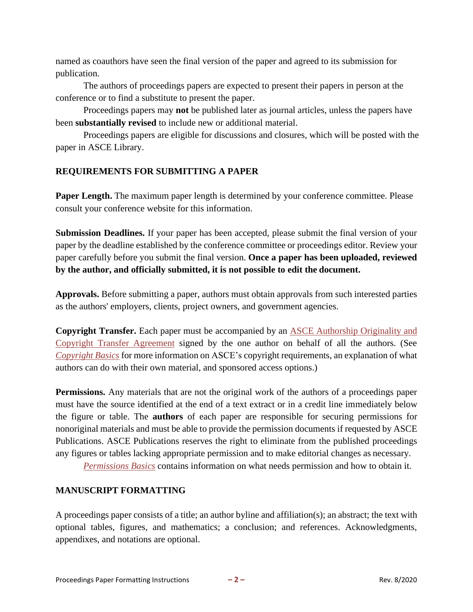named as coauthors have seen the final version of the paper and agreed to its submission for publication.

The authors of proceedings papers are expected to present their papers in person at the conference or to find a substitute to present the paper.

Proceedings papers may **not** be published later as journal articles, unless the papers have been **substantially revised** to include new or additional material.

Proceedings papers are eligible for discussions and closures, which will be posted with the paper in ASCE Library.

## **REQUIREMENTS FOR SUBMITTING A PAPER**

**Paper Length.** The maximum paper length is determined by your conference committee. Please consult your conference website for this information.

**Submission Deadlines.** If your paper has been accepted, please submit the final version of your paper by the deadline established by the conference committee or proceedings editor. Review your paper carefully before you submit the final version. **Once a paper has been uploaded, reviewed by the author, and officially submitted, it is not possible to edit the document.**

**Approvals.** Before submitting a paper, authors must obtain approvals from such interested parties as the authors' employers, clients, project owners, and government agencies.

**Copyright Transfer.** Each paper must be accompanied by an [ASCE Authorship Originality and](http://ascelibrary.org/userimages/ContentEditor/1412622184009/ASCE%20Authorship%20originality%20and%20CTA%20form.pdf) [Copyright Transfer Agreement](http://ascelibrary.org/userimages/ContentEditor/1412622184009/ASCE%20Authorship%20originality%20and%20CTA%20form.pdf) signed by the one author on behalf of all the authors. (See *[Copyright](http://dx.doi.org/10.1061/9780784478998.ch08) Ba[sics](http://dx.doi.org/10.1061/9780784478998.ch08)* for more information on ASCE's copyright requirements, an explanation of what authors can do with their own material, and sponsored access options.)

**Permissions.** Any materials that are not the original work of the authors of a proceedings paper must have the source identified at the end of a text extract or in a credit line immediately below the figure or table. The **authors** of each paper are responsible for securing permissions for nonoriginal materials and must be able to provide the permission documents if requested by ASCE Publications. ASCE Publications reserves the right to eliminate from the published proceedings any figures or tables lacking appropriate permission and to make editorial changes as necessary.

*[Permissions Basics](http://dx.doi.org/10.1061/9780784478998.ch09)* contains information on what needs permission and how to obtain it*.*

## **MANUSCRIPT FORMATTING**

A proceedings paper consists of a title; an author byline and affiliation(s); an abstract; the text with optional tables, figures, and mathematics; a conclusion; and references. Acknowledgments, appendixes, and notations are optional.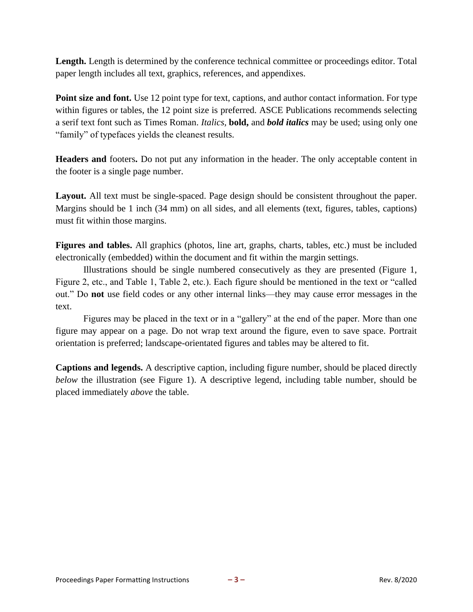Length. Length is determined by the conference technical committee or proceedings editor. Total paper length includes all text, graphics, references, and appendixes.

**Point size and font.** Use 12 point type for text, captions, and author contact information. For type within figures or tables, the 12 point size is preferred. ASCE Publications recommends selecting a serif text font such as Times Roman. *Italics,* **bold,** and *bold italics* may be used; using only one "family" of typefaces yields the cleanest results.

**Headers and** footers**.** Do not put any information in the header. The only acceptable content in the footer is a single page number.

Layout. All text must be single-spaced. Page design should be consistent throughout the paper. Margins should be 1 inch (34 mm) on all sides, and all elements (text, figures, tables, captions) must fit within those margins.

**Figures and tables.** All graphics (photos, line art, graphs, charts, tables, etc.) must be included electronically (embedded) within the document and fit within the margin settings.

Illustrations should be single numbered consecutively as they are presented (Figure 1, Figure 2, etc., and Table 1, Table 2, etc.). Each figure should be mentioned in the text or "called out." Do **not** use field codes or any other internal links—they may cause error messages in the text.

Figures may be placed in the text or in a "gallery" at the end of the paper. More than one figure may appear on a page. Do not wrap text around the figure, even to save space. Portrait orientation is preferred; landscape-orientated figures and tables may be altered to fit.

**Captions and legends.** A descriptive caption, including figure number, should be placed directly *below* the illustration (see Figure 1). A descriptive legend, including table number, should be placed immediately *above* the table.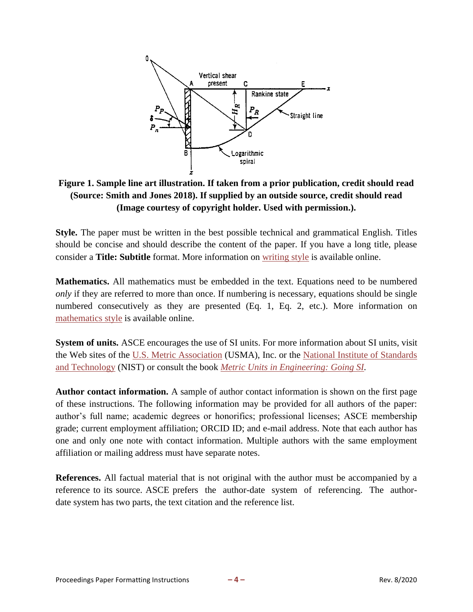

**Figure 1. Sample line art illustration. If taken from a prior publication, credit should read (Source: Smith and Jones 2018). If supplied by an outside source, credit should read (Image courtesy of copyright holder. Used with permission.).**

**Style.** The paper must be written in the best possible technical and grammatical English. Titles should be concise and should describe the content of the paper. If you have a long title, please consider a **Title: Subtitle** format. More information on [writing style](http://dx.doi.org/10.1061/9780784478998.ch11) is available online.

**Mathematics.** All mathematics must be embedded in the text. Equations need to be numbered *only* if they are referred to more than once. If numbering is necessary, equations should be single numbered consecutively as they are presented (Eq. 1, Eq. 2, etc.). More information on [mathematics style](http://dx.doi.org/10.1061/9780784478998.ch16) is available online.

**System of units.** ASCE encourages the use of SI units. For more information about SI units, visit the Web sites of the [U.S. Metric Association](http://lamar.colostate.edu/~hillger/) (USMA), Inc. or the [National Institute of Standards](http://physics.nist.gov/cuu/Units/index.html) [and Technology](http://physics.nist.gov/cuu/Units/index.html) (NIST) or consult the book *[Metric Units in Engineering: Going SI.](http://ascelibrary.org/doi/book/10.1061/9780784400708)*

**Author contact information.** A sample of author contact information is shown on the first page of these instructions. The following information may be provided for all authors of the paper: author's full name; academic degrees or honorifics; professional licenses; ASCE membership grade; current employment affiliation; ORCID ID; and e-mail address. Note that each author has one and only one note with contact information. Multiple authors with the same employment affiliation or mailing address must have separate notes.

**References.** All factual material that is not original with the author must be accompanied by a reference to its source. ASCE prefers the author-date system of referencing. The authordate system has two parts, the text citation and the reference list.